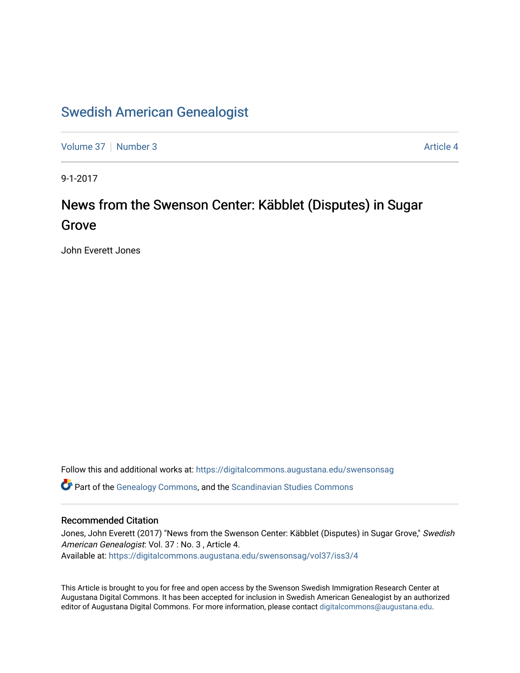### [Swedish American Genealogist](https://digitalcommons.augustana.edu/swensonsag)

[Volume 37](https://digitalcommons.augustana.edu/swensonsag/vol37) | [Number 3](https://digitalcommons.augustana.edu/swensonsag/vol37/iss3) Article 4

9-1-2017

## News from the Swenson Center: Käbblet (Disputes) in Sugar Grove

John Everett Jones

Follow this and additional works at: [https://digitalcommons.augustana.edu/swensonsag](https://digitalcommons.augustana.edu/swensonsag?utm_source=digitalcommons.augustana.edu%2Fswensonsag%2Fvol37%2Fiss3%2F4&utm_medium=PDF&utm_campaign=PDFCoverPages) 

Part of the [Genealogy Commons,](http://network.bepress.com/hgg/discipline/1342?utm_source=digitalcommons.augustana.edu%2Fswensonsag%2Fvol37%2Fiss3%2F4&utm_medium=PDF&utm_campaign=PDFCoverPages) and the [Scandinavian Studies Commons](http://network.bepress.com/hgg/discipline/485?utm_source=digitalcommons.augustana.edu%2Fswensonsag%2Fvol37%2Fiss3%2F4&utm_medium=PDF&utm_campaign=PDFCoverPages)

#### Recommended Citation

Jones, John Everett (2017) "News from the Swenson Center: Käbblet (Disputes) in Sugar Grove," Swedish American Genealogist: Vol. 37 : No. 3 , Article 4. Available at: [https://digitalcommons.augustana.edu/swensonsag/vol37/iss3/4](https://digitalcommons.augustana.edu/swensonsag/vol37/iss3/4?utm_source=digitalcommons.augustana.edu%2Fswensonsag%2Fvol37%2Fiss3%2F4&utm_medium=PDF&utm_campaign=PDFCoverPages) 

This Article is brought to you for free and open access by the Swenson Swedish Immigration Research Center at Augustana Digital Commons. It has been accepted for inclusion in Swedish American Genealogist by an authorized editor of Augustana Digital Commons. For more information, please contact [digitalcommons@augustana.edu.](mailto:digitalcommons@augustana.edu)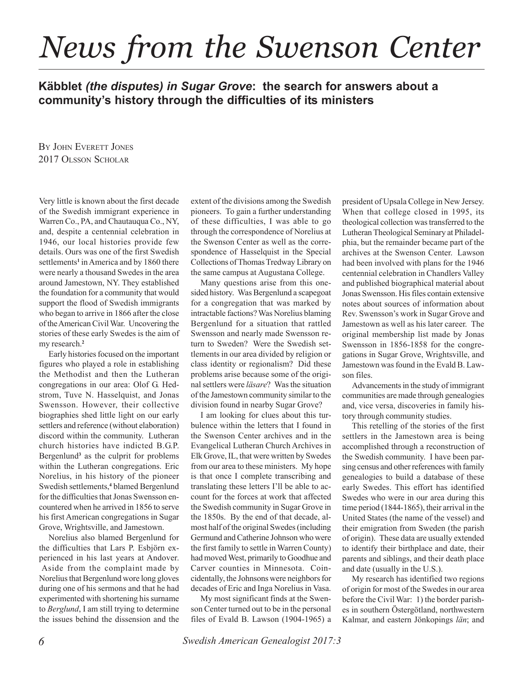## *News from the Swenson Center*

### **Käbblet** *(the disputes) in Sugar Grove***: the search for answers about a community's history through the difficulties of its ministers**

BY JOHN EVERETT JONES 2017 OLSSON SCHOLAR

Very little is known about the first decade of the Swedish immigrant experience in Warren Co., PA, and Chautauqua Co., NY, and, despite a centennial celebration in 1946, our local histories provide few details. Ours was one of the first Swedish settlements<sup>1</sup> in America and by 1860 there were nearly a thousand Swedes in the area around Jamestown, NY. They established the foundation for a community that would support the flood of Swedish immigrants who began to arrive in 1866 after the close of the American Civil War. Uncovering the stories of these early Swedes is the aim of my research.**<sup>2</sup>**

Early histories focused on the important figures who played a role in establishing the Methodist and then the Lutheran congregations in our area: Olof G. Hedstrom, Tuve N. Hasselquist, and Jonas Swensson. However, their collective biographies shed little light on our early settlers and reference (without elaboration) discord within the community. Lutheran church histories have indicted B.G.P. Bergenlund**<sup>3</sup>** as the culprit for problems within the Lutheran congregations. Eric Norelius, in his history of the pioneer Swedish settlements,**<sup>4</sup>** blamed Bergenlund for the difficulties that Jonas Swensson encountered when he arrived in 1856 to serve his first American congregations in Sugar Grove, Wrightsville, and Jamestown.

Norelius also blamed Bergenlund for the difficulties that Lars P. Esbjörn experienced in his last years at Andover. Aside from the complaint made by Norelius that Bergenlund wore long gloves during one of his sermons and that he had experimented with shortening his surname to *Berglund*, I am still trying to determine the issues behind the dissension and the extent of the divisions among the Swedish pioneers. To gain a further understanding of these difficulties, I was able to go through the correspondence of Norelius at the Swenson Center as well as the correspondence of Hasselquist in the Special Collections of Thomas Tredway Library on the same campus at Augustana College.

Many questions arise from this onesided history. Was Bergenlund a scapegoat for a congregation that was marked by intractable factions? Was Norelius blaming Bergenlund for a situation that rattled Swensson and nearly made Swensson return to Sweden? Were the Swedish settlements in our area divided by religion or class identity or regionalism? Did these problems arise because some of the original settlers were *läsare*? Was the situation of the Jamestown community similar to the division found in nearby Sugar Grove?

I am looking for clues about this turbulence within the letters that I found in the Swenson Center archives and in the Evangelical Lutheran Church Archives in Elk Grove, IL, that were written by Swedes from our area to these ministers. My hope is that once I complete transcribing and translating these letters I'll be able to account for the forces at work that affected the Swedish community in Sugar Grove in the 1850s. By the end of that decade, almost half of the original Swedes (including Germund and Catherine Johnson who were the first family to settle in Warren County) had moved West, primarily to Goodhue and Carver counties in Minnesota. Coincidentally, the Johnsons were neighbors for decades of Eric and Inga Norelius in Vasa.

My most significant finds at the Swenson Center turned out to be in the personal files of Evald B. Lawson (1904-1965) a president of Upsala College in New Jersey. When that college closed in 1995, its theological collection was transferred to the Lutheran Theological Seminary at Philadelphia, but the remainder became part of the archives at the Swenson Center. Lawson had been involved with plans for the 1946 centennial celebration in Chandlers Valley and published biographical material about Jonas Swensson. His files contain extensive notes about sources of information about Rev. Swensson's work in Sugar Grove and Jamestown as well as his later career. The original membership list made by Jonas Swensson in 1856-1858 for the congregations in Sugar Grove, Wrightsville, and Jamestown was found in the Evald B. Lawson files.

Advancements in the study of immigrant communities are made through genealogies and, vice versa, discoveries in family history through community studies.

This retelling of the stories of the first settlers in the Jamestown area is being accomplished through a reconstruction of the Swedish community. I have been parsing census and other references with family genealogies to build a database of these early Swedes. This effort has identified Swedes who were in our area during this time period (1844-1865), their arrival in the United States (the name of the vessel) and their emigration from Sweden (the parish of origin). These data are usually extended to identify their birthplace and date, their parents and siblings, and their death place and date (usually in the U.S.).

My research has identified two regions of origin for most of the Swedes in our area before the Civil War: 1) the border parishes in southern Östergötland, northwestern Kalmar, and eastern Jönkopings *län*; and